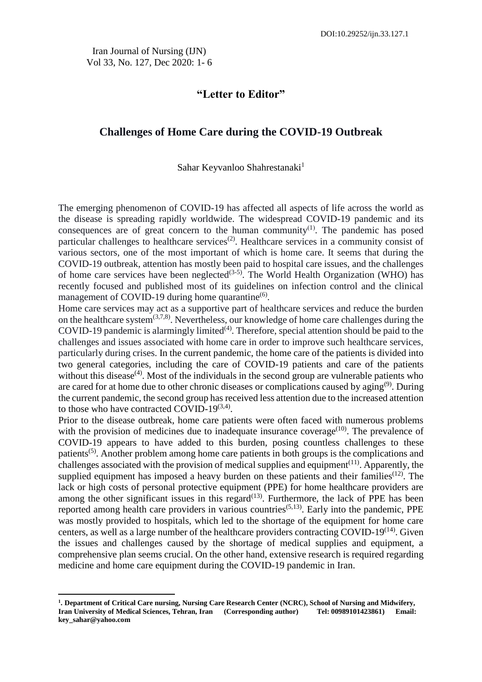Iran Journal of Nursing (IJN) Vol 33, No. 127, Dec 2020: 1- 6

# **"Letter to Editor"**

## **Challenges of Home Care during the COVID-19 Outbreak**

#### Sahar Keyvanloo Shahrestanaki*<sup>1</sup>*

The emerging phenomenon of COVID-19 has affected all aspects of life across the world as the disease is spreading rapidly worldwide. The widespread COVID-19 pandemic and its consequences are of great concern to the human community<sup>(1)</sup>. The pandemic has posed particular challenges to healthcare services<sup> $(2)$ </sup>. Healthcare services in a community consist of various sectors, one of the most important of which is home care. It seems that during the COVID-19 outbreak, attention has mostly been paid to hospital care issues, and the challenges of home care services have been neglected<sup>(3-5)</sup>. The World Health Organization (WHO) has recently focused and published most of its guidelines on infection control and the clinical management of COVID-19 during home quarantine $^{(6)}$ .

Home care services may act as a supportive part of healthcare services and reduce the burden on the healthcare system<sup> $(3,7,8)$ </sup>. Nevertheless, our knowledge of home care challenges during the COVID-19 pandemic is alarmingly limited<sup> $(4)$ </sup>. Therefore, special attention should be paid to the challenges and issues associated with home care in order to improve such healthcare services, particularly during crises. In the current pandemic, the home care of the patients is divided into two general categories, including the care of COVID-19 patients and care of the patients without this disease<sup> $(4)$ </sup>. Most of the individuals in the second group are vulnerable patients who are cared for at home due to other chronic diseases or complications caused by  $\text{aging}^{(9)}$ . During the current pandemic, the second group has received less attention due to the increased attention to those who have contracted COVID-19 $^{(3,4)}$ .

Prior to the disease outbreak, home care patients were often faced with numerous problems with the provision of medicines due to inadequate insurance coverage<sup> $(10)$ </sup>. The prevalence of COVID-19 appears to have added to this burden, posing countless challenges to these patients(5). Another problem among home care patients in both groups is the complications and challenges associated with the provision of medical supplies and equipment<sup> $(11)$ </sup>. Apparently, the supplied equipment has imposed a heavy burden on these patients and their families<sup> $(12)$ </sup>. The lack or high costs of personal protective equipment (PPE) for home healthcare providers are among the other significant issues in this regard<sup> $(13)$ </sup>. Furthermore, the lack of PPE has been reported among health care providers in various countries<sup> $(5,13)$ </sup>. Early into the pandemic, PPE was mostly provided to hospitals, which led to the shortage of the equipment for home care centers, as well as a large number of the healthcare providers contracting COVID-19<sup>(14)</sup>. Given the issues and challenges caused by the shortage of medical supplies and equipment, a comprehensive plan seems crucial. On the other hand, extensive research is required regarding medicine and home care equipment during the COVID-19 pandemic in Iran.

**.** 

**<sup>1</sup> . Department of Critical Care nursing, Nursing Care Research Center (NCRC), School of Nursing and Midwifery, Iran University of Medical Sciences, Tehran, Iran (Corresponding author) Tel: 00989101423861) Email: key\_sahar@yahoo.com**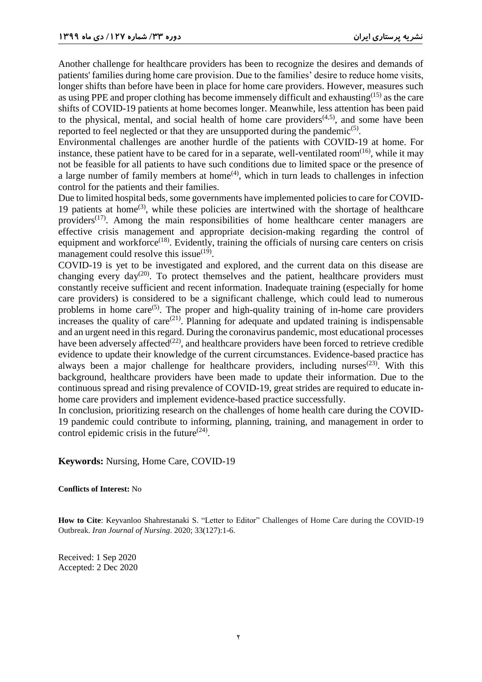Another challenge for healthcare providers has been to recognize the desires and demands of patients' families during home care provision. Due to the families' desire to reduce home visits, longer shifts than before have been in place for home care providers. However, measures such as using PPE and proper clothing has become immensely difficult and exhausting(15) as the care shifts of COVID-19 patients at home becomes longer. Meanwhile, less attention has been paid to the physical, mental, and social health of home care providers $(4,5)$ , and some have been reported to feel neglected or that they are unsupported during the pandemic<sup>(5)</sup>.

Environmental challenges are another hurdle of the patients with COVID-19 at home. For instance, these patient have to be cared for in a separate, well-ventilated room<sup> $(16)$ </sup>, while it may not be feasible for all patients to have such conditions due to limited space or the presence of a large number of family members at home<sup> $(4)$ </sup>, which in turn leads to challenges in infection control for the patients and their families.

Due to limited hospital beds, some governments have implemented policies to care for COVID-19 patients at home<sup> $(3)$ </sup>, while these policies are intertwined with the shortage of healthcare providers<sup> $(17)$ </sup>. Among the main responsibilities of home healthcare center managers are effective crisis management and appropriate decision-making regarding the control of equipment and workforce<sup>(18)</sup>. Evidently, training the officials of nursing care centers on crisis management could resolve this issue $(19)$ .

COVID-19 is yet to be investigated and explored, and the current data on this disease are changing every day<sup>(20)</sup>. To protect themselves and the patient, healthcare providers must constantly receive sufficient and recent information. Inadequate training (especially for home care providers) is considered to be a significant challenge, which could lead to numerous problems in home care<sup> $(5)$ </sup>. The proper and high-quality training of in-home care providers increases the quality of care<sup>(21)</sup>. Planning for adequate and updated training is indispensable and an urgent need in this regard. During the coronavirus pandemic, most educational processes have been adversely affected<sup> $(22)$ </sup>, and healthcare providers have been forced to retrieve credible evidence to update their knowledge of the current circumstances. Evidence-based practice has always been a major challenge for healthcare providers, including nurses<sup> $(23)$ </sup>. With this background, healthcare providers have been made to update their information. Due to the continuous spread and rising prevalence of COVID-19, great strides are required to educate inhome care providers and implement evidence-based practice successfully.

In conclusion, prioritizing research on the challenges of home health care during the COVID-19 pandemic could contribute to informing, planning, training, and management in order to control epidemic crisis in the future $^{(24)}$ .

**Keywords:** Nursing, Home Care, COVID-19

#### **Conflicts of Interest:** No

**How to Cite**: Keyvanloo Shahrestanaki S. "Letter to Editor" Challenges of Home Care during the COVID-19 Outbreak. *Iran Journal of Nursing*. 2020; 33(127):1-6.

Received: 1 Sep 2020 Accepted: 2 Dec 2020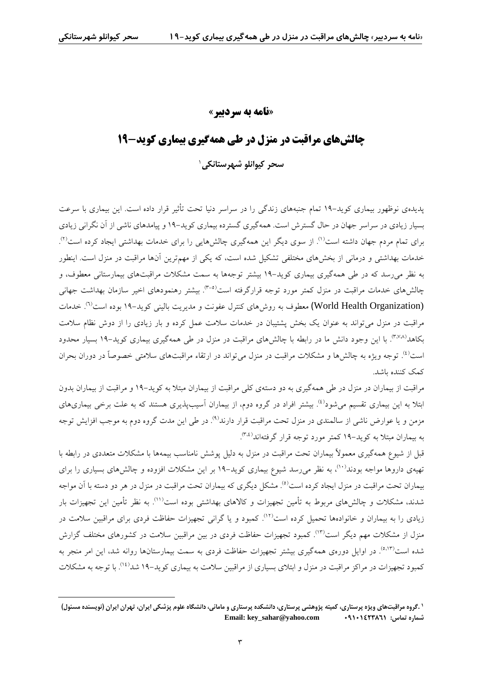1

# **»نامه به سردبیر«**

# **چالشهای مراقبت در منزل در طی همهگیری بیماری کوید19-**

**سحر کیوانلو شهرستانکی**<sup>1</sup>

پدیدهی نوظهور بیماری کوید19- تمام جنبههای زندگی را در سراسر دنیا تحت تأثیر قرار داده است. این بیماری با سرعت بسیار زیادی در سراسر جهان در حال گسترش است. همهگیری گسترده بیماری کوید19- و پیامدهای ناشی از آن نگرانی زیادی برای تمام مردم جهان داشته است<sup>(۱)</sup>. از سوی دیگر این همهگیری چالشهایی را برای خدمات بهداشتی ایجاد کرده است<sup>(۲)</sup> . خدمات بهداشتی و درمانی از بخشهای مختلفی تشکیل شده است، که یکی از مهمترین آنها مراقبت در منزل است. اینطور به نظر میرسد که در طی همهگیری بیماری کوید19- بیشتر توجهها به سمت مشکالت مراقبتهای بیمارستانی معطوف، و جالش های خدمات مراقبت در منزل کمتر مورد توجه قرارگرفته است<sup>(۳-۵)</sup>. بیشتر رهنمودهای اخیر سازمان بهداشت جهانی (World Health Organization) معطوف به روش(های کنترل عفونت و مدیریت بالینی کوید–۱۹ بوده است<sup>(۲)</sup>. خدمات مراقبت در منزل میتواند به عنوان یک بخش پشتیبان در خدمات سالمت عمل کرده و بار زیادی را از دوش نظام سالمت بکاهد<sup>(۳٬۷۸</sup>). با این وجود دانش ما در رابطه با چالشهای مراقبت در منزل در طی همهگیری بیماری کوید–۱۹ بسیار محدود ست<sup>(٤</sup>. توجه ویژه به چالشها و مشکلات مراقبت در منزل می $\,$ تواند در ارتقاء مراقبتهای سلامتی خصوصاً در دوران بحران کمک کننده باشد.

مراقبت از بیماران در منزل در طی همهگیری به دو دستهی کلی مراقبت از بیماران مبتال به کوید19- و مراقبت از بیماران بدون بتلا به این بیماری تقسیم میشود<sup>(٤)</sup>. بیشتر افراد در گروه دوم، از بیماران آسیبپذیری هستند که به علت برخی بیماریهای مزمن و یا عوارض ناشی از سالمندی در منزل تحت مراقبت قرار دارند<sup>(۹)</sup>. در طی این مدت گروه دوم به موجب افزایش توجه )3،4( به بیماران مبتال به کوید19- کمتر مورد توجه قرار گرفتهاند .

قبل از شیوع همهگیری معموالّ بیماران تحت مراقبت در منزل به دلیل پوشش نامناسب بیمهها با مشکالت متعددی در رابطه با تهیهی داروها مواجه بودند<sup>(۱۰)</sup>، به نظر می رسد شیوع بیماری کوید–۱۹ بر این مشکلات افزوده و چالشهای بسیاری را برای بیماران تحت مراقبت در منزل ایجاد کرده است<sup>(٥)</sup>. مشکل دیگری که بیماران تحت مراقبت در منزل در هر دو دسته با آن مواجه شدند، مشکلات و چالش،ای مربوط به تأمین تجهیزات و کالاهای بهداشتی بوده است<sup>(۱۱)</sup>. به نظر تأمین این تجهیزات بار زیادی را به بیماران و خانوادهها تحمیل کرده است<sup>(۱۲)</sup>. کمبود و یا گرانی تجهیزات حفاظت فردی برای مراقبین سلامت در منزل از مشکلات مهم دیگر است<sup>(۱۲)</sup>. کمبود تجهیزات حفاظت فردی در بین مراقبین سلامت در کشورهای مختلف گزارش شده است<sup>(۵٬۱۳</sup>ٌ. در اوایل دورهی همهگیری بیشتر تجهیزات حفاظت فردی به سمت بیمارستانها روانه شد، این امر منجر به کمبود تجهیزات در مراکز مراقبت در منزل و ابتلای بسیاری از مراقبین سلامت به بیماری کوید–۱۹ شد<sup>(۱۶)</sup>. با توجه به مشکلات

**<sup>1</sup> .گروه مراقبتهای ویژه پرستاری، کمیته پژوهشی پرستاری، دانشکده پرستاری و مامائی، دانشگاه علوم پزشکی ایران، تهران ایران )نویسنده مسئول( Email: key\_sahar@yahoo.com 09101423861 :تماس شماره**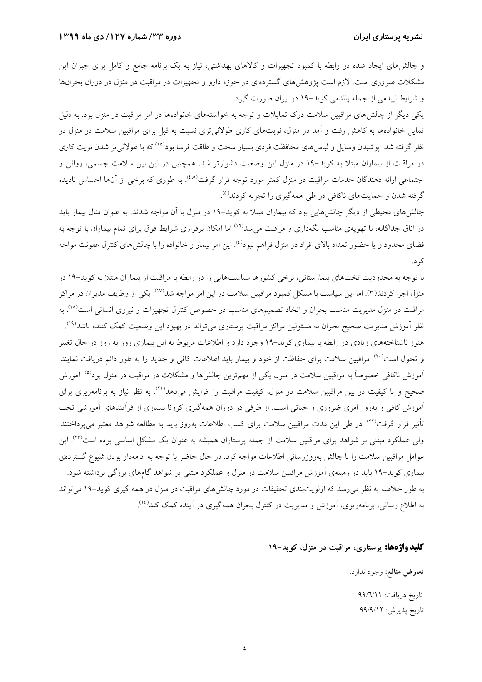و چالشهای ایجاد شده در رابطه با کمبود تجهیزات و کاالهای بهداشتی، نیاز به یک برنامه جامع و کامل برای جبران این مشکالت ضروری است. الزم است پژوهشهای گستردهای در حوزه دارو و تجهیزات در مراقبت در منزل در دوران بحرانها و شرایط اپیدمی از جمله پاندمی کوید19- در ایران صورت گیرد.

یکی دیگر از چالشهای مراقبین سالمت درک تمایالت و توجه به خواستههای خانوادهها در امر مراقبت در منزل بود. به دلیل تمایل خانوادهها به کاهش رفت و آمد در منزل، نوبتهای کاری طوالنیتری نسبت به قبل برای مراقبین سالمت در منزل در نظر گرفته شد. پوشیدن وسایل و لباس۵های محافظت فردی بسیار سخت و طاقت فرسا بود<sup>(۱۵)</sup> که با طولانیتر شدن نویت کاری در مراقبت از بیماران مبتال به کوید19- در منزل این وضعیت دشوارتر شد. همچنین در این بین سالمت جسمی، روانی و 'جتماعی ارائه دهندگان خدمات مراقبت در منزل کمتر مورد توجه قرار گرفت<sup>(۵.۵)</sup>. به طوری که برخی از آنها احساس نادیده )5( گرفته شدن و حمایتهای ناکافی در طی همهگیری را تجربه کردند .

چالشهای محیطی از دیگر چالشهایی بود که بیماران مبتال به کوید19- در منزل با آن مواجه شدند. به عنوان مثال بیمار باید در اتاق جداگانه، با تهویهی مناسب نگهداری و مراقبت میشد<sup>(۱٦)</sup> اما امکان برقراری شرایط فوق برای تمام بیماران با توجه به فضای محدود و یا حضور تعداد بالای افراد در منزل فراهم نبود<sup>(٤)</sup>. این امر بیمار و خانواده را با چالشهای کنترل عفونت مواجه کرد.

با توجه به محدودیت تختهای بیمارستانی، برخی کشورها سیاستهایی را در رابطه با مراقبت از بیماران مبتال به کوید19- در منزل اجرا کردند(۳). اما این سیاست با مشکل کمبود مراقبین سلامت در این امر مواجه شد<sup>(۱۷)</sup>. یکی از وظایف مدیران در مراکز مراقبت در منزل مدیریت مناسب بحران و اتخاذ تصمیمهای مناسب در خصوص کنترل تجهیزات و نیروی انسانی است<sup>۸۰</sup>۷. به نظر آموزش مدیریت صحیح بحران به مسئولین مراکز مراقبت پرستاری میتواند در بهبود این وضعیت کمک کننده باشد<sup>(۱۹</sup>′). . هنوز ناشناختههای زیادی در رابطه با بیماری کوید19- وجود دارد و اطالعات مربوط به این بیماری روز به روز در حال تغییر و تحول است<sup>٬۲۰</sup>′. مراقبین سلامت برای حفاظت از خود و بیمار باید اطلاعات کافی و جدید را به طور دائم دریافت نمایند. آموزش ناکافی خصوصاً به مراقبین سلامت در منزل یکی از مهمترین چالشها و مشکلات در مراقبت در منزل بود<sup>(٥)</sup>. آموزش صحیح و با کیفیت در بین مراقبین سلامت در منزل، کیفیت مراقبت را افزایش میدهد<sup>(۲۱)</sup>. به نظر نیاز به برنامهریزی برای آموزش کافی و بهروز امری ضروری و حیاتی است. از طرفی در دوران همهگیری کرونا بسیاری از فرآیندهای آموزشی تحت نأثیر قرار گرفت<sup>(۲۲)</sup>. در طی این مدت مراقبین سلامت برای کسب اطلاعات بهروز باید به مطالعه شواهد معتبر می $\mu$ داختند. ولی عملکرد مبتنی بر شواهد برای مراقبین سلامت از جمله پرستاران همیشه به عنوان یک مشکل اساسی بوده است<sup>(۲۳)</sup>. این عوامل مراقبین سالمت را با چالش بهروزرسانی اطالعات مواجه کرد. در حال حاضر با توجه به ادامهدار بودن شیوع گستردهی بیماری کوید19- باید در زمینهی آموزش مراقبین سالمت در منزل و عملکرد مبتنی بر شواهد گامهای بزرگی برداشته شود. به طور خالصه به نظر میرسد که اولویتبندی تحقیقات در مورد چالشهای مراقبت در منزل در همه گیری کوید19- میتواند به اطلاع رسانی، برنامهریزی، آموزش و مدیریت در کنترل بحران همهگیری در آینده کمک کند<sup>(۲٤)</sup>. .

## **کلید واژهها: پرستاری، مراقبت در منزل، کوید19-**

**تعارض منافع:** وجود ندارد.

تاریخ دریافت: 99/6/11 تاریخ پذیرش: 99/9/12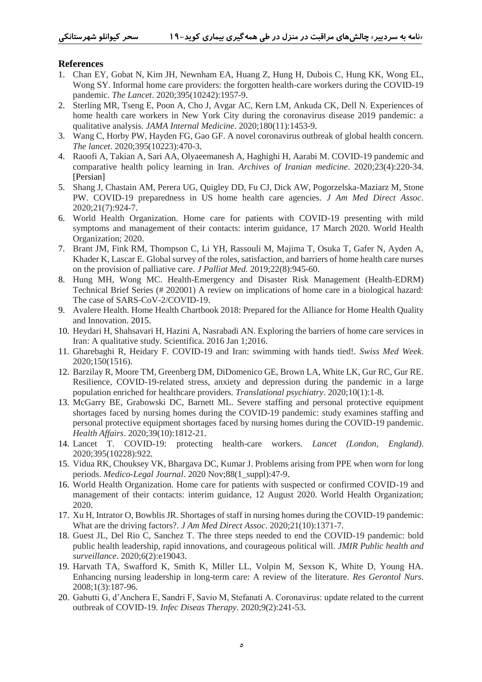### **References**

- 1. Chan EY, Gobat N, Kim JH, Newnham EA, Huang Z, Hung H, Dubois C, Hung KK, Wong EL, Wong SY. Informal home care providers: the forgotten health-care workers during the COVID-19 pandemic. *The Lancet*. 2020;395(10242):1957-9.
- 2. Sterling MR, Tseng E, Poon A, Cho J, Avgar AC, Kern LM, Ankuda CK, Dell N. Experiences of home health care workers in New York City during the coronavirus disease 2019 pandemic: a qualitative analysis. *JAMA Internal Medicine*. 2020;180(11):1453-9.
- 3. Wang C, Horby PW, Hayden FG, Gao GF. A novel coronavirus outbreak of global health concern. *The lancet*. 2020;395(10223):470-3.
- 4. Raoofi A, Takian A, Sari AA, Olyaeemanesh A, Haghighi H, Aarabi M. COVID-19 pandemic and comparative health policy learning in Iran. *Archives of Iranian medicine*. 2020;23(4):220-34. [Persian]
- 5. Shang J, Chastain AM, Perera UG, Quigley DD, Fu CJ, Dick AW, Pogorzelska-Maziarz M, Stone PW. COVID-19 preparedness in US home health care agencies. *J Am Med Direct Assoc*. 2020;21(7):924-7.
- 6. World Health Organization. Home care for patients with COVID-19 presenting with mild symptoms and management of their contacts: interim guidance, 17 March 2020. World Health Organization; 2020.
- 7. Brant JM, Fink RM, Thompson C, Li YH, Rassouli M, Majima T, Osuka T, Gafer N, Ayden A, Khader K, Lascar E. Global survey of the roles, satisfaction, and barriers of home health care nurses on the provision of palliative care. *J Palliat Med.* 2019;22(8):945-60.
- 8. Hung MH, Wong MC. Health-Emergency and Disaster Risk Management (Health-EDRM) Technical Brief Series (# 202001) A review on implications of home care in a biological hazard: The case of SARS-CoV-2/COVID-19.
- 9. Avalere Health. Home Health Chartbook 2018: Prepared for the Alliance for Home Health Quality and Innovation. 2015.
- 10. Heydari H, Shahsavari H, Hazini A, Nasrabadi AN. Exploring the barriers of home care services in Iran: A qualitative study. Scientifica. 2016 Jan 1;2016.
- 11. Gharebaghi R, Heidary F. COVID-19 and Iran: swimming with hands tied!. *Swiss Med Week*. 2020;150(1516).
- 12. Barzilay R, Moore TM, Greenberg DM, DiDomenico GE, Brown LA, White LK, Gur RC, Gur RE. Resilience, COVID-19-related stress, anxiety and depression during the pandemic in a large population enriched for healthcare providers. *Translational psychiatry*. 2020;10(1):1-8.
- 13. McGarry BE, Grabowski DC, Barnett ML. Severe staffing and personal protective equipment shortages faced by nursing homes during the COVID-19 pandemic: study examines staffing and personal protective equipment shortages faced by nursing homes during the COVID-19 pandemic. *Health Affairs*. 2020;39(10):1812-21.
- 14. Lancet T. COVID-19: protecting health-care workers. *Lancet (London, England)*. 2020;395(10228):922.
- 15. Vidua RK, Chouksey VK, Bhargava DC, Kumar J. Problems arising from PPE when worn for long periods. *Medico-Legal Journal*. 2020 Nov;88(1\_suppl):47-9.
- 16. World Health Organization. Home care for patients with suspected or confirmed COVID-19 and management of their contacts: interim guidance, 12 August 2020. World Health Organization; 2020.
- 17. Xu H, Intrator O, Bowblis JR. Shortages of staff in nursing homes during the COVID-19 pandemic: What are the driving factors?. *J Am Med Direct Assoc*. 2020;21(10):1371-7.
- 18. Guest JL, Del Rio C, Sanchez T. The three steps needed to end the COVID-19 pandemic: bold public health leadership, rapid innovations, and courageous political will. *JMIR Public health and surveillance*. 2020;6(2):e19043.
- 19. Harvath TA, Swafford K, Smith K, Miller LL, Volpin M, Sexson K, White D, Young HA. Enhancing nursing leadership in long-term care: A review of the literature. *Res Gerontol Nurs*. 2008;1(3):187-96.
- 20. Gabutti G, d'Anchera E, Sandri F, Savio M, Stefanati A. Coronavirus: update related to the current outbreak of COVID-19. *Infec Diseas Therapy*. 2020;9(2):241-53.